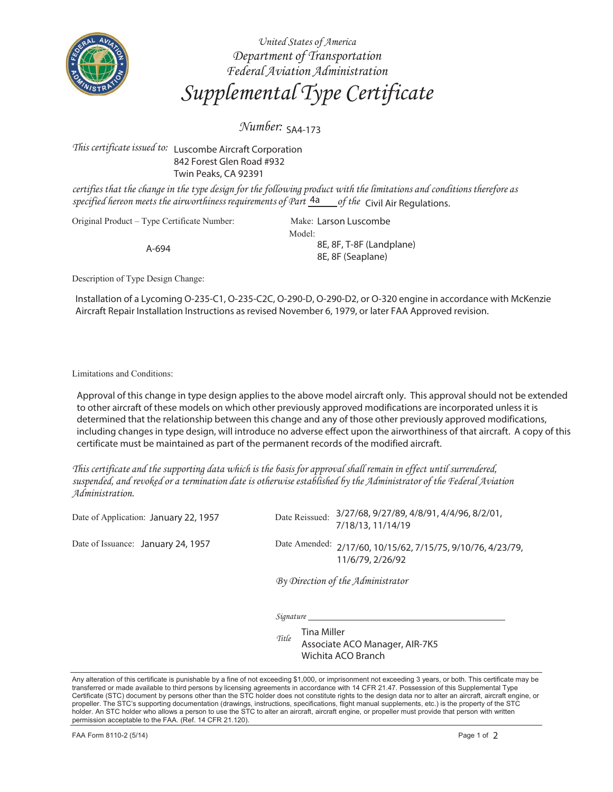

*United States of America Department of Transportation Federal Aviation Administration Supplemental Type Certificate*

*Number:*  SA4-173

## *This certificate issued to:* Luscombe Aircraft Corporation 842 Forest Glen Road #932 Twin Peaks, CA 92391

*certifies that the change in the type design for the following product with the limitations and conditions therefore as*  specified hereon meets the airworthiness requirements of Part  $\frac{4a}{d}$  of the Civil Air Regulations.

Original Product – Type Certificate Number:

A-694

Model: Make: Larson Luscombe 8E, 8F, T-8F (Landplane) 8E, 8F (Seaplane)

Description of Type Design Change:

Installation of a Lycoming O-235-C1, O-235-C2C, O-290-D, O-290-D2, or O-320 engine in accordance with McKenzie Aircraft Repair Installation Instructions as revised November 6, 1979, or later FAA Approved revision.

Limitations and Conditions:

Approval of this change in type design applies to the above model aircraft only. This approval should not be extended to other aircraft of these models on which other previously approved modifications are incorporated unless it is determined that the relationship between this change and any of those other previously approved modifications, including changes in type design, will introduce no adverse effect upon the airworthiness of that aircraft. A copy of this certificate must be maintained as part of the permanent records of the modified aircraft.

*This certificate and the supporting data which is the basis for approval shall remain in effect until surrendered, suspended, and revoked or a termination date is otherwise established by the Administrator of the Federal Aviation Administration.* 

Date of Application: January 22, 1957 Date Reissued:

Date of Issuance: January 24, 1957 Date Amended:

Date Reissued: 3/27/68, 9/27/89, 4/8/91, 4/4/96, 8/2/01, 7/18/13, 11/14/19

Date Amended: 2/17/60, 10/15/62, 7/15/75, 9/10/76, 4/23/79, 11/6/79, 2/26/92

*By Direction of the Administrator* 

*Signature*

*Title* Tina Miller Associate ACO Manager, AIR-7K5 Wichita ACO Branch

Any alteration of this certificate is punishable by a fine of not exceeding \$1,000, or imprisonment not exceeding 3 years, or both. This certificate may be transferred or made available to third persons by licensing agreements in accordance with 14 CFR 21.47. Possession of this Supplemental Type Certificate (STC) document by persons other than the STC holder does not constitute rights to the design data nor to alter an aircraft, aircraft engine, or propeller. The STC's supporting documentation (drawings, instructions, specifications, flight manual supplements, etc.) is the property of the STC holder. An STC holder who allows a person to use the STC to alter an aircraft, aircraft engine, or propeller must provide that person with written permission acceptable to the FAA. (Ref. 14 CFR 21.120).